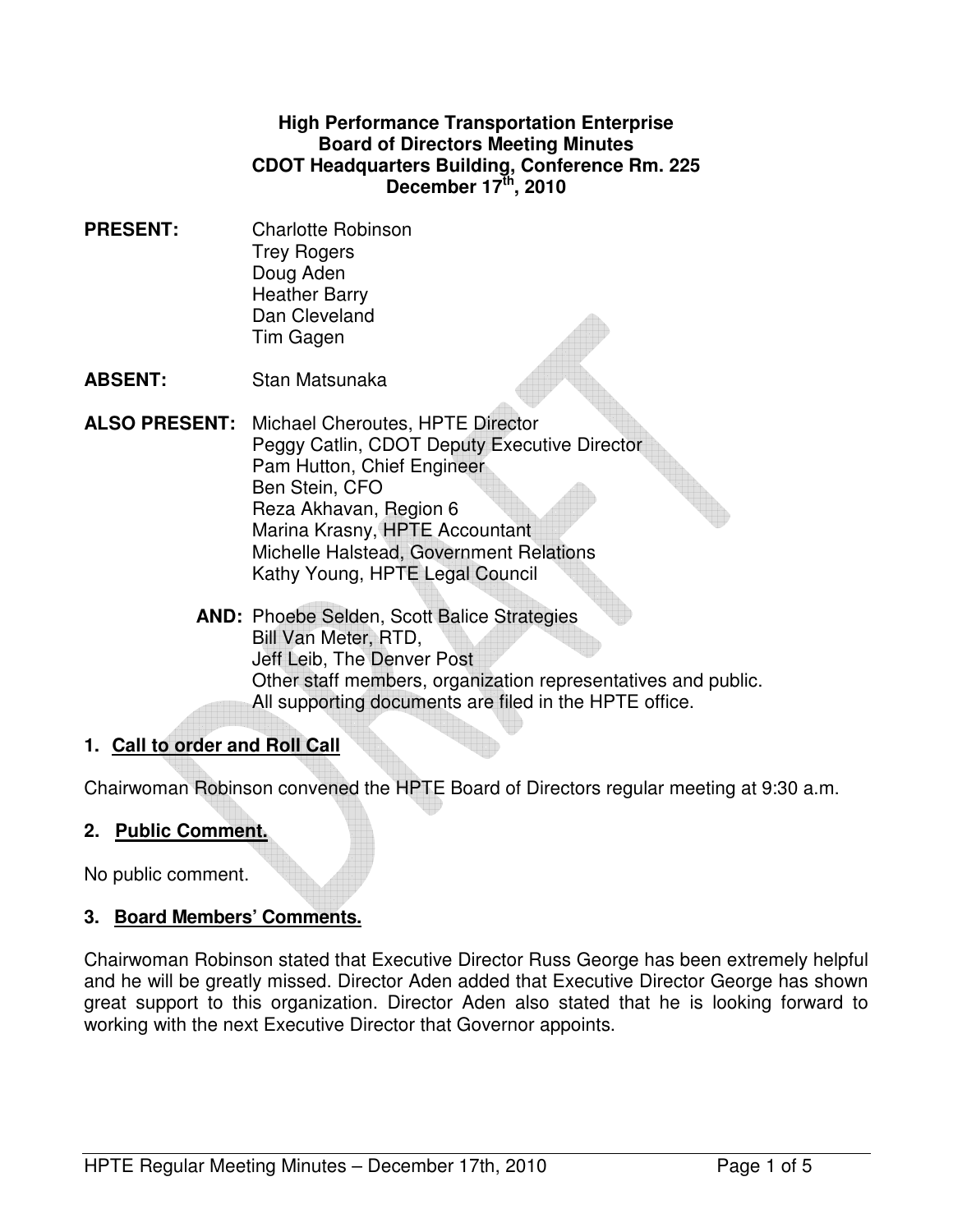#### **High Performance Transportation Enterprise Board of Directors Meeting Minutes CDOT Headquarters Building, Conference Rm. 225 December 17th, 2010**

**PRESENT:** Charlotte Robinson Trey Rogers Doug Aden Heather Barry Dan Cleveland Tim Gagen

**ABSENT:** Stan Matsunaka

**ALSO PRESENT:** Michael Cheroutes, HPTE Director Peggy Catlin, CDOT Deputy Executive Director Pam Hutton, Chief Engineer Ben Stein, CFO Reza Akhavan, Region 6 Marina Krasny, HPTE Accountant Michelle Halstead, Government Relations Kathy Young, HPTE Legal Council

> **AND:** Phoebe Selden, Scott Balice Strategies Bill Van Meter, RTD, Jeff Leib, The Denver Post Other staff members, organization representatives and public. All supporting documents are filed in the HPTE office.

# **1. Call to order and Roll Call**

Chairwoman Robinson convened the HPTE Board of Directors regular meeting at 9:30 a.m.

#### **2. Public Comment.**

No public comment.

#### **3. Board Members' Comments.**

Chairwoman Robinson stated that Executive Director Russ George has been extremely helpful and he will be greatly missed. Director Aden added that Executive Director George has shown great support to this organization. Director Aden also stated that he is looking forward to working with the next Executive Director that Governor appoints.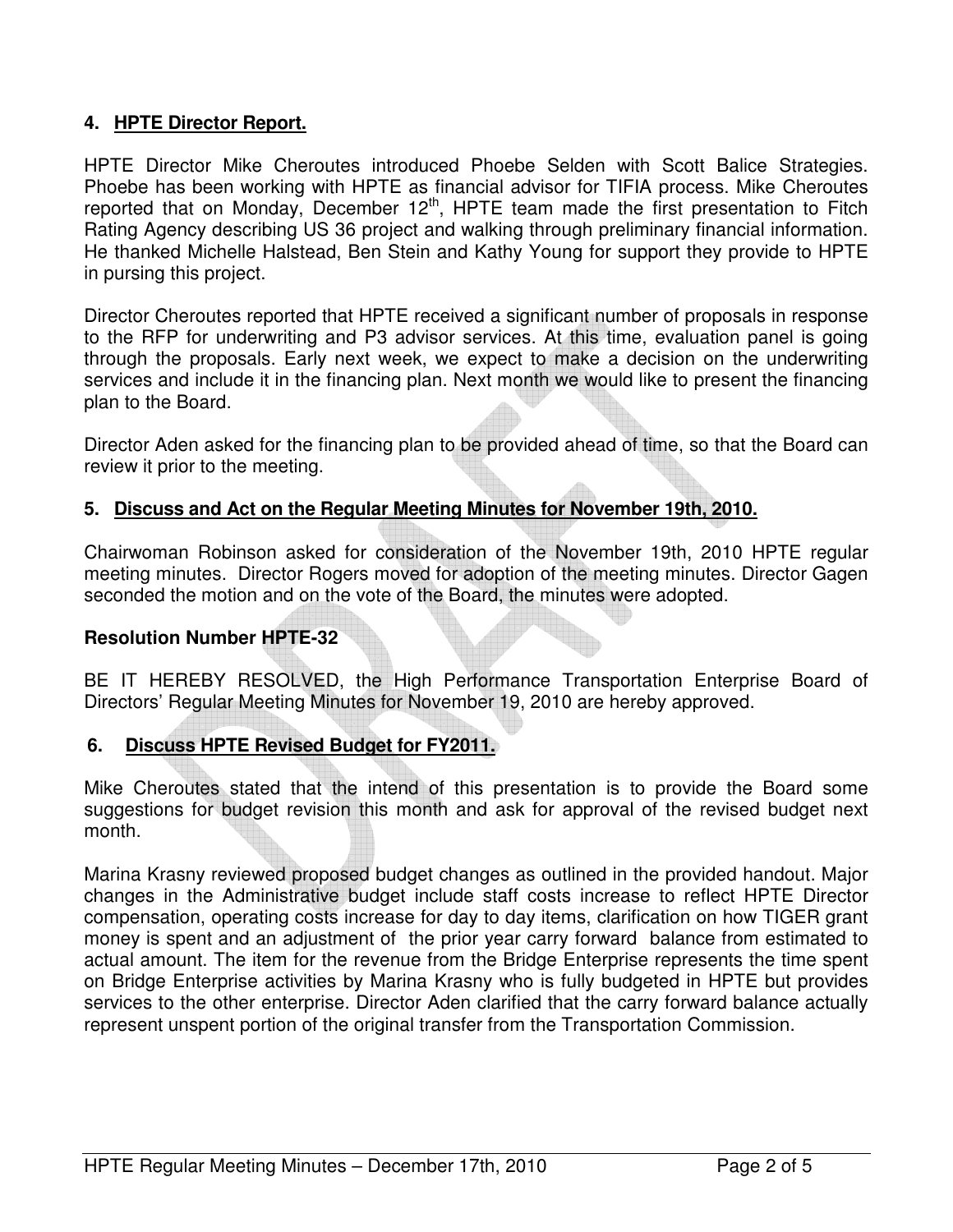## **4. HPTE Director Report.**

HPTE Director Mike Cheroutes introduced Phoebe Selden with Scott Balice Strategies. Phoebe has been working with HPTE as financial advisor for TIFIA process. Mike Cheroutes reported that on Monday, December  $12<sup>th</sup>$ , HPTE team made the first presentation to Fitch Rating Agency describing US 36 project and walking through preliminary financial information. He thanked Michelle Halstead, Ben Stein and Kathy Young for support they provide to HPTE in pursing this project.

Director Cheroutes reported that HPTE received a significant number of proposals in response to the RFP for underwriting and P3 advisor services. At this time, evaluation panel is going through the proposals. Early next week, we expect to make a decision on the underwriting services and include it in the financing plan. Next month we would like to present the financing plan to the Board.

Director Aden asked for the financing plan to be provided ahead of time, so that the Board can review it prior to the meeting.

## **5. Discuss and Act on the Regular Meeting Minutes for November 19th, 2010.**

Chairwoman Robinson asked for consideration of the November 19th, 2010 HPTE regular meeting minutes. Director Rogers moved for adoption of the meeting minutes. Director Gagen seconded the motion and on the vote of the Board, the minutes were adopted.

#### **Resolution Number HPTE-32**

BE IT HEREBY RESOLVED, the High Performance Transportation Enterprise Board of Directors' Regular Meeting Minutes for November 19, 2010 are hereby approved.

#### **6. Discuss HPTE Revised Budget for FY2011.**

Mike Cheroutes stated that the intend of this presentation is to provide the Board some suggestions for budget revision this month and ask for approval of the revised budget next month.

Marina Krasny reviewed proposed budget changes as outlined in the provided handout. Major changes in the Administrative budget include staff costs increase to reflect HPTE Director compensation, operating costs increase for day to day items, clarification on how TIGER grant money is spent and an adjustment of the prior year carry forward balance from estimated to actual amount. The item for the revenue from the Bridge Enterprise represents the time spent on Bridge Enterprise activities by Marina Krasny who is fully budgeted in HPTE but provides services to the other enterprise. Director Aden clarified that the carry forward balance actually represent unspent portion of the original transfer from the Transportation Commission.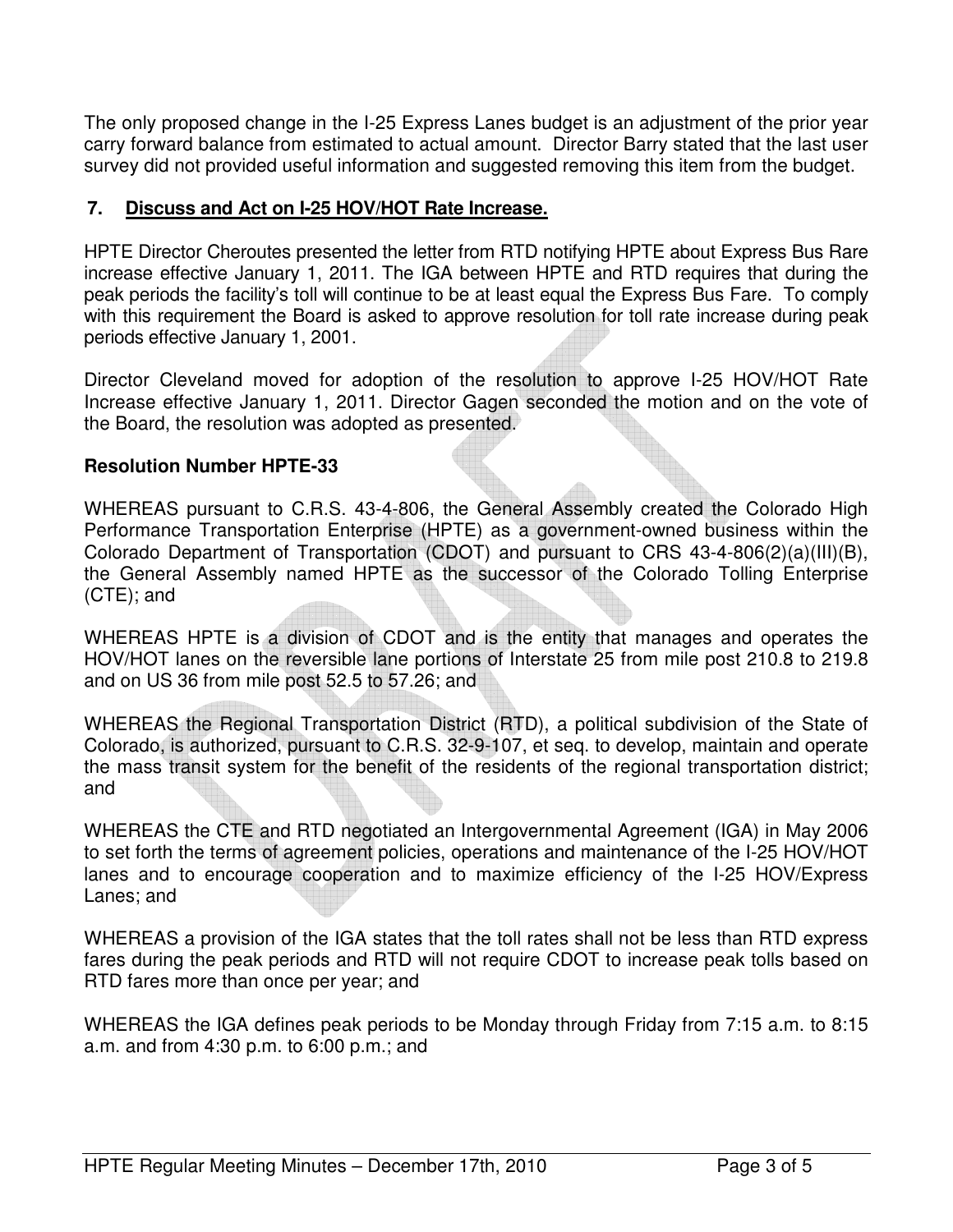The only proposed change in the I-25 Express Lanes budget is an adjustment of the prior year carry forward balance from estimated to actual amount. Director Barry stated that the last user survey did not provided useful information and suggested removing this item from the budget.

### **7. Discuss and Act on I-25 HOV/HOT Rate Increase.**

HPTE Director Cheroutes presented the letter from RTD notifying HPTE about Express Bus Rare increase effective January 1, 2011. The IGA between HPTE and RTD requires that during the peak periods the facility's toll will continue to be at least equal the Express Bus Fare. To comply with this requirement the Board is asked to approve resolution for toll rate increase during peak periods effective January 1, 2001.

Director Cleveland moved for adoption of the resolution to approve I-25 HOV/HOT Rate Increase effective January 1, 2011. Director Gagen seconded the motion and on the vote of the Board, the resolution was adopted as presented.

## **Resolution Number HPTE-33**

WHEREAS pursuant to C.R.S. 43-4-806, the General Assembly created the Colorado High Performance Transportation Enterprise (HPTE) as a government-owned business within the Colorado Department of Transportation (CDOT) and pursuant to CRS 43-4-806(2)(a)(III)(B), the General Assembly named HPTE as the successor of the Colorado Tolling Enterprise (CTE); and

WHEREAS HPTE is a division of CDOT and is the entity that manages and operates the HOV/HOT lanes on the reversible lane portions of Interstate 25 from mile post 210.8 to 219.8 and on US 36 from mile post 52.5 to 57.26; and

WHEREAS the Regional Transportation District (RTD), a political subdivision of the State of Colorado, is authorized, pursuant to C.R.S. 32-9-107, et seq. to develop, maintain and operate the mass transit system for the benefit of the residents of the regional transportation district; and

WHEREAS the CTE and RTD negotiated an Intergovernmental Agreement (IGA) in May 2006 to set forth the terms of agreement policies, operations and maintenance of the I-25 HOV/HOT lanes and to encourage cooperation and to maximize efficiency of the I-25 HOV/Express Lanes; and

WHEREAS a provision of the IGA states that the toll rates shall not be less than RTD express fares during the peak periods and RTD will not require CDOT to increase peak tolls based on RTD fares more than once per year; and

WHEREAS the IGA defines peak periods to be Monday through Friday from 7:15 a.m. to 8:15 a.m. and from 4:30 p.m. to 6:00 p.m.; and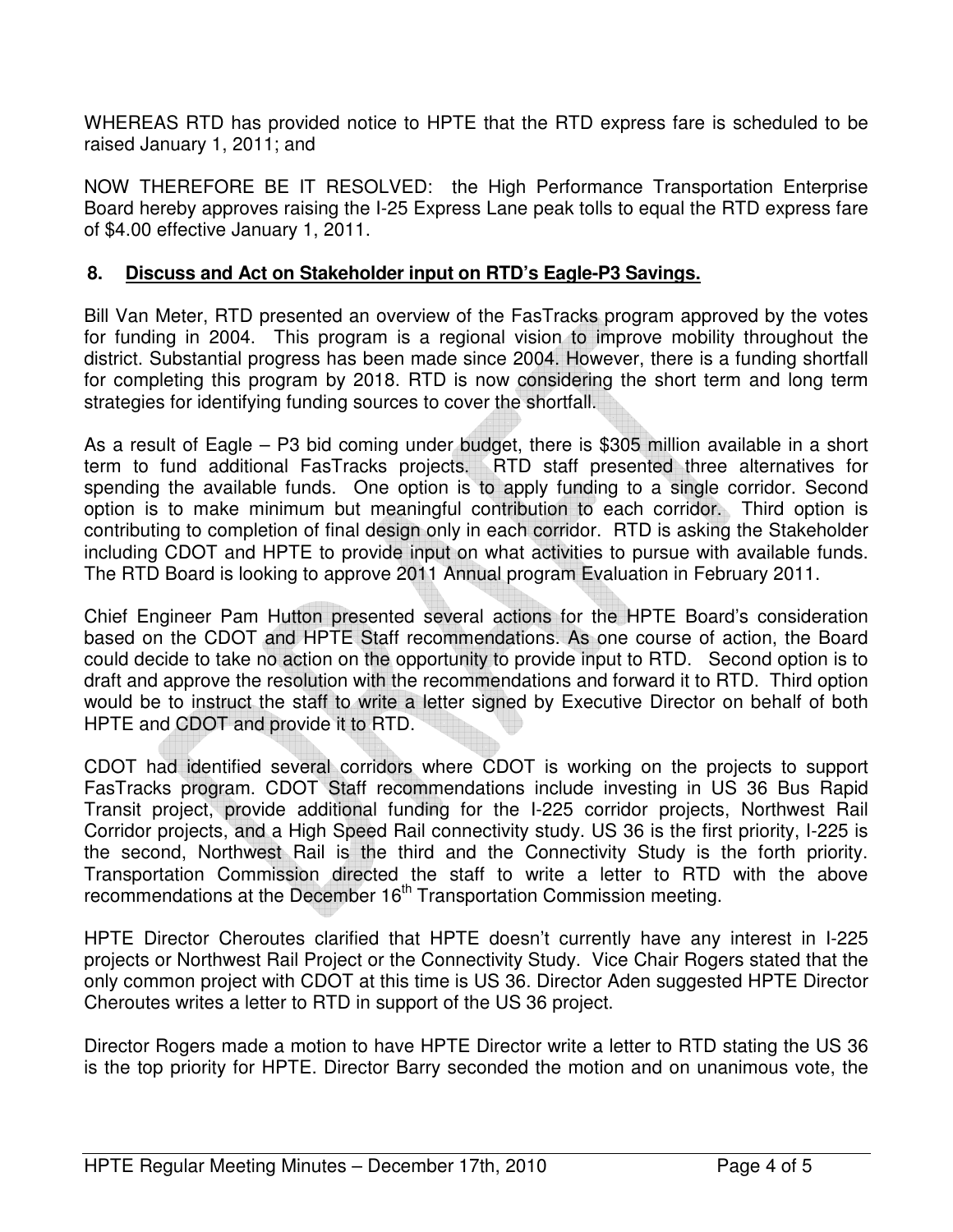WHEREAS RTD has provided notice to HPTE that the RTD express fare is scheduled to be raised January 1, 2011; and

NOW THEREFORE BE IT RESOLVED: the High Performance Transportation Enterprise Board hereby approves raising the I-25 Express Lane peak tolls to equal the RTD express fare of \$4.00 effective January 1, 2011.

#### **8. Discuss and Act on Stakeholder input on RTD's Eagle-P3 Savings.**

Bill Van Meter, RTD presented an overview of the FasTracks program approved by the votes for funding in 2004. This program is a regional vision to improve mobility throughout the district. Substantial progress has been made since 2004. However, there is a funding shortfall for completing this program by 2018. RTD is now considering the short term and long term strategies for identifying funding sources to cover the shortfall.

As a result of Eagle – P3 bid coming under budget, there is \$305 million available in a short term to fund additional FasTracks projects. RTD staff presented three alternatives for spending the available funds. One option is to apply funding to a single corridor. Second option is to make minimum but meaningful contribution to each corridor. Third option is contributing to completion of final design only in each corridor. RTD is asking the Stakeholder including CDOT and HPTE to provide input on what activities to pursue with available funds. The RTD Board is looking to approve 2011 Annual program Evaluation in February 2011.

Chief Engineer Pam Hutton presented several actions for the HPTE Board's consideration based on the CDOT and HPTE Staff recommendations. As one course of action, the Board could decide to take no action on the opportunity to provide input to RTD. Second option is to draft and approve the resolution with the recommendations and forward it to RTD. Third option would be to instruct the staff to write a letter signed by Executive Director on behalf of both HPTE and CDOT and provide it to RTD.

CDOT had identified several corridors where CDOT is working on the projects to support FasTracks program. CDOT Staff recommendations include investing in US 36 Bus Rapid Transit project, provide additional funding for the I-225 corridor projects, Northwest Rail Corridor projects, and a High Speed Rail connectivity study. US 36 is the first priority, I-225 is the second, Northwest Rail is the third and the Connectivity Study is the forth priority. Transportation Commission directed the staff to write a letter to RTD with the above recommendations at the December 16<sup>th</sup> Transportation Commission meeting.

HPTE Director Cheroutes clarified that HPTE doesn't currently have any interest in I-225 projects or Northwest Rail Project or the Connectivity Study. Vice Chair Rogers stated that the only common project with CDOT at this time is US 36. Director Aden suggested HPTE Director Cheroutes writes a letter to RTD in support of the US 36 project.

Director Rogers made a motion to have HPTE Director write a letter to RTD stating the US 36 is the top priority for HPTE. Director Barry seconded the motion and on unanimous vote, the